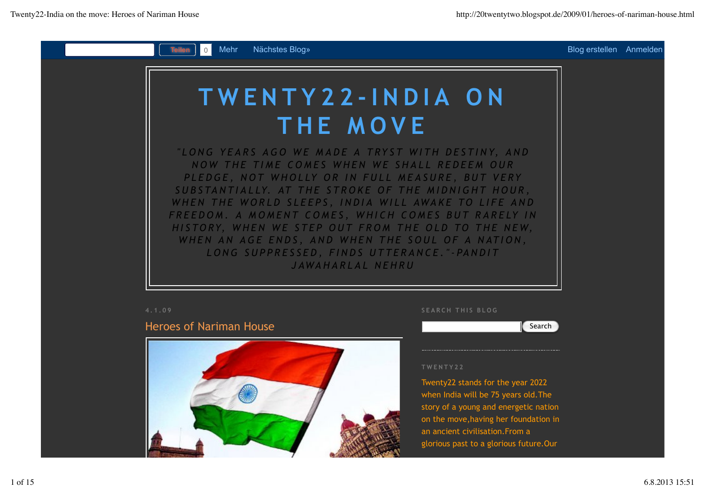

# Heroes of Nariman House



**SEARCH THIS BLOG**

## **Search**

#### **TWENTY22**

Twenty22 stands for the year 2022 when India will be 75 years old.The story of a young and energetic nation on the move,having her foundation in an ancient civilisation.From a glorious past to a glorious future.Our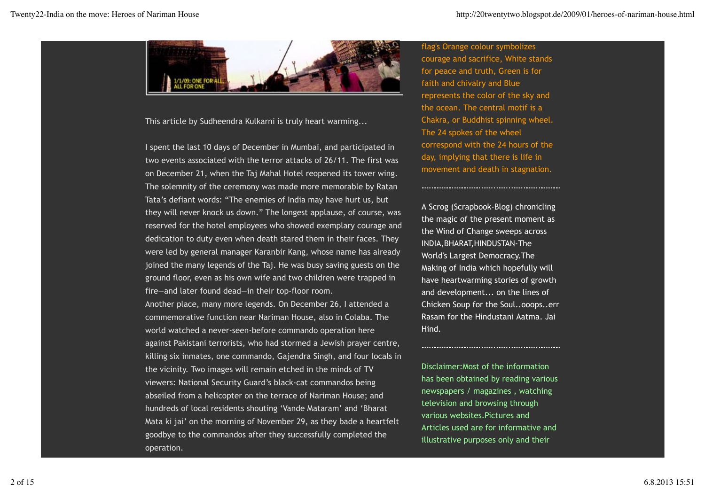

This article by Sudheendra Kulkarni is truly heart warming...

I spent the last 10 days of December in Mumbai, and participated in two events associated with the terror attacks of 26/11. The first was on December 21, when the Taj Mahal Hotel reopened its tower wing. The solemnity of the ceremony was made more memorable by Ratan Tata's defiant words: "The enemies of India may have hurt us, but they will never knock us down." The longest applause, of course, was reserved for the hotel employees who showed exemplary courage and dedication to duty even when death stared them in their faces. They were led by general manager Karanbir Kang, whose name has already joined the many legends of the Taj. He was busy saving guests on the ground floor, even as his own wife and two children were trapped in fire—and later found dead—in their top-floor room.

Another place, many more legends. On December 26, I attended a commemorative function near Nariman House, also in Colaba. The world watched a never-seen-before commando operation here against Pakistani terrorists, who had stormed a Jewish prayer centre, killing six inmates, one commando, Gajendra Singh, and four locals in the vicinity. Two images will remain etched in the minds of TV viewers: National Security Guard's black-cat commandos being abseiled from a helicopter on the terrace of Nariman House; and hundreds of local residents shouting 'Vande Mataram' and 'Bharat Mata ki jai' on the morning of November 29, as they bade a heartfelt goodbye to the commandos after they successfully completed the operation.

flag's Orange colour symbolizes courage and sacrifice, White stands for peace and truth, Green is for faith and chivalry and Blue represents the color of the sky and the ocean. The central motif is a Chakra, or Buddhist spinning wheel. The 24 spokes of the wheel correspond with the 24 hours of the day, implying that there is life in movement and death in stagnation.

A Scrog (Scrapbook-Blog) chronicling the magic of the present moment as the Wind of Change sweeps across INDIA,BHARAT,HINDUSTAN-The World's Largest Democracy.The Making of India which hopefully will have heartwarming stories of growth and development... on the lines of Chicken Soup for the Soul..ooops..err Rasam for the Hindustani Aatma. Jai Hind.

Disclaimer:Most of the information has been obtained by reading various newspapers / magazines , watching television and browsing through various websites.Pictures and Articles used are for informative and illustrative purposes only and their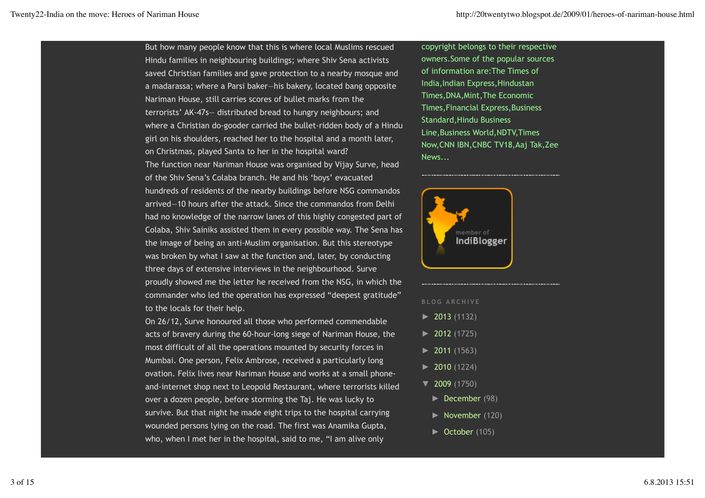But how many people know that this is where local Muslims rescued Hindu families in neighbouring buildings; where Shiv Sena activists saved Christian families and gave protection to a nearby mosque and a madarassa; where a Parsi baker—his bakery, located bang opposite Nariman House, still carries scores of bullet marks from the terrorists' AK-47s— distributed bread to hungry neighbours; and where a Christian do-gooder carried the bullet-ridden body of a Hindu girl on his shoulders, reached her to the hospital and a month later, on Christmas, played Santa to her in the hospital ward? The function near Nariman House was organised by Vijay Surve, head of the Shiv Sena's Colaba branch. He and his 'boys' evacuated hundreds of residents of the nearby buildings before NSG commandos arrived—10 hours after the attack. Since the commandos from Delhi had no knowledge of the narrow lanes of this highly congested part of Colaba, Shiv Sainiks assisted them in every possible way. The Sena has the image of being an anti-Muslim organisation. But this stereotype was broken by what I saw at the function and, later, by conducting three days of extensive interviews in the neighbourhood. Surve proudly showed me the letter he received from the NSG, in which the commander who led the operation has expressed "deepest gratitude" to the locals for their help.

On 26/12, Surve honoured all those who performed commendable acts of bravery during the 60-hour-long siege of Nariman House, the most difficult of all the operations mounted by security forces in Mumbai. One person, Felix Ambrose, received a particularly long ovation. Felix lives near Nariman House and works at a small phoneand-internet shop next to Leopold Restaurant, where terrorists killed over a dozen people, before storming the Taj. He was lucky to survive. But that night he made eight trips to the hospital carrying wounded persons lying on the road. The first was Anamika Gupta, who, when I met her in the hospital, said to me, "I am alive only

copyright belongs to their respective owners.Some of the popular sources of information are:The Times of India,Indian Express,Hindustan Times,DNA,Mint,The Economic Times,Financial Express,Business Standard,Hindu Business Line,Business World,NDTV,Times Now,CNN IBN,CNBC TV18,Aaj Tak,Zee News...



- **BLOG ARCHIVE**
- ► 2013 (1132)
- ► 2012 (1725)
- ► 2011 (1563)
- ► 2010 (1224)
- ▼ 2009 (1750)
- ► December (98)
- ► November (120)
- ► October (105)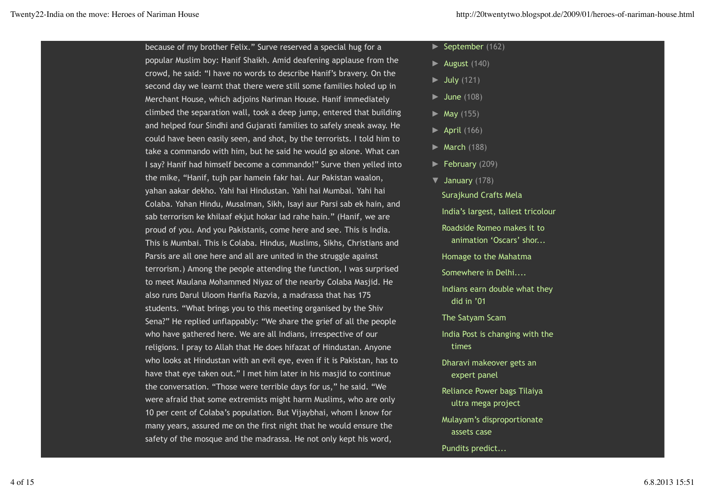because of my brother Felix." Surve reserved a special hug for a popular Muslim boy: Hanif Shaikh. Amid deafening applause from the crowd, he said: "I have no words to describe Hanif's bravery. On the second day we learnt that there were still some families holed up in Merchant House, which adjoins Nariman House. Hanif immediately climbed the separation wall, took a deep jump, entered that building and helped four Sindhi and Gujarati families to safely sneak away. He could have been easily seen, and shot, by the terrorists. I told him to take a commando with him, but he said he would go alone. What can I say? Hanif had himself become a commando!" Surve then yelled into the mike, "Hanif, tujh par hamein fakr hai. Aur Pakistan waalon, yahan aakar dekho. Yahi hai Hindustan. Yahi hai Mumbai. Yahi hai Colaba. Yahan Hindu, Musalman, Sikh, Isayi aur Parsi sab ek hain, and sab terrorism ke khilaaf ekjut hokar lad rahe hain." (Hanif, we are proud of you. And you Pakistanis, come here and see. This is India. This is Mumbai. This is Colaba. Hindus, Muslims, Sikhs, Christians and Parsis are all one here and all are united in the struggle against terrorism.) Among the people attending the function, I was surprised to meet Maulana Mohammed Niyaz of the nearby Colaba Masjid. He also runs Darul Uloom Hanfia Razvia, a madrassa that has 175 students. "What brings you to this meeting organised by the Shiv Sena?" He replied unflappably: "We share the grief of all the people who have gathered here. We are all Indians, irrespective of our religions. I pray to Allah that He does hifazat of Hindustan. Anyone who looks at Hindustan with an evil eye, even if it is Pakistan, has to have that eye taken out." I met him later in his masjid to continue the conversation. "Those were terrible days for us," he said. "We were afraid that some extremists might harm Muslims, who are only 10 per cent of Colaba's population. But Vijaybhai, whom I know for many years, assured me on the first night that he would ensure the safety of the mosque and the madrassa. He not only kept his word,

- ► September (162)
- ► August (140)
- $\blacktriangleright$  July (121)
- ► June (108)
- $\blacktriangleright$  May (155)
- $\blacktriangleright$  April (166)
- $\blacktriangleright$  March (188)
- ► February (209)
- ▼ January (178)

Surajkund Crafts Mela India's largest, tallest tricolour Roadside Romeo makes it to animation 'Oscars' shor... Homage to the Mahatma Somewhere in Delhi.... Indians earn double what they did in '01 The Satyam Scam India Post is changing with the times Dharavi makeover gets an expert panel

- Reliance Power bags Tilaiya ultra mega project
- Mulayam's disproportionate assets case
- Pundits predict...